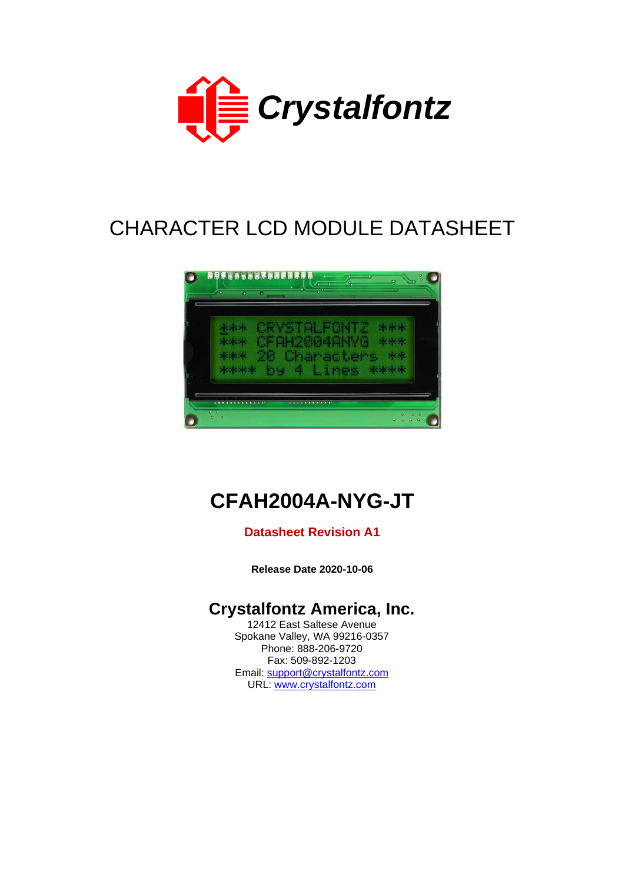

# CHARACTER LCD MODULE DATASHEET



# **CFAH2004A-NYG-JT**

#### **Datasheet Revision A1**

**Release Date 2020-10-06**

## **Crystalfontz America, Inc.**

12412 East Saltese Avenue Spokane Valley, WA 99216-0357 Phone: 888-206-9720 Fax: 509-892-1203 Email: [support@crystalfontz.com](mailto:support@crystalfontz.com) URL: [www.crystalfontz.com](http://www.crystalfontz.com/)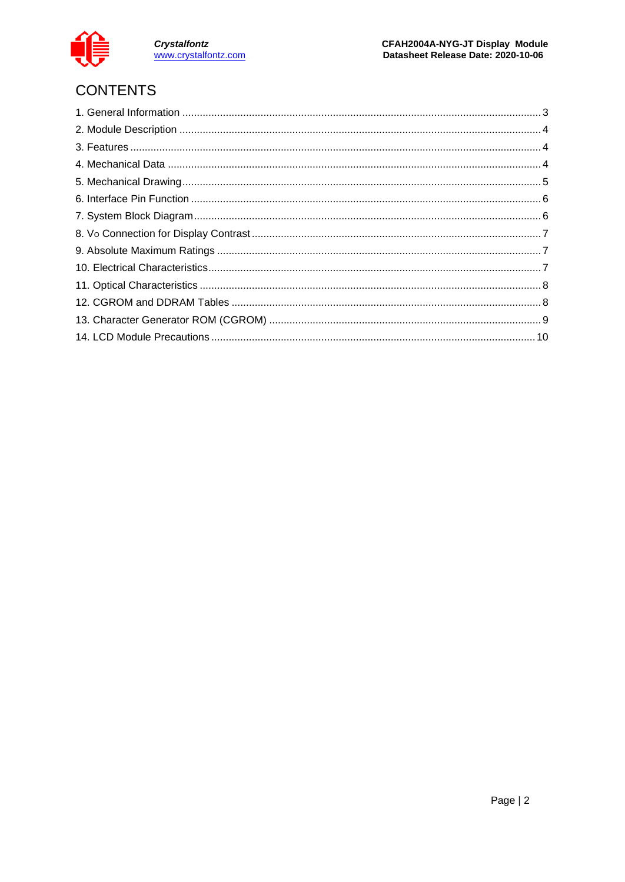

Crystalfontz<br>www.crystalfontz.com

## **CONTENTS**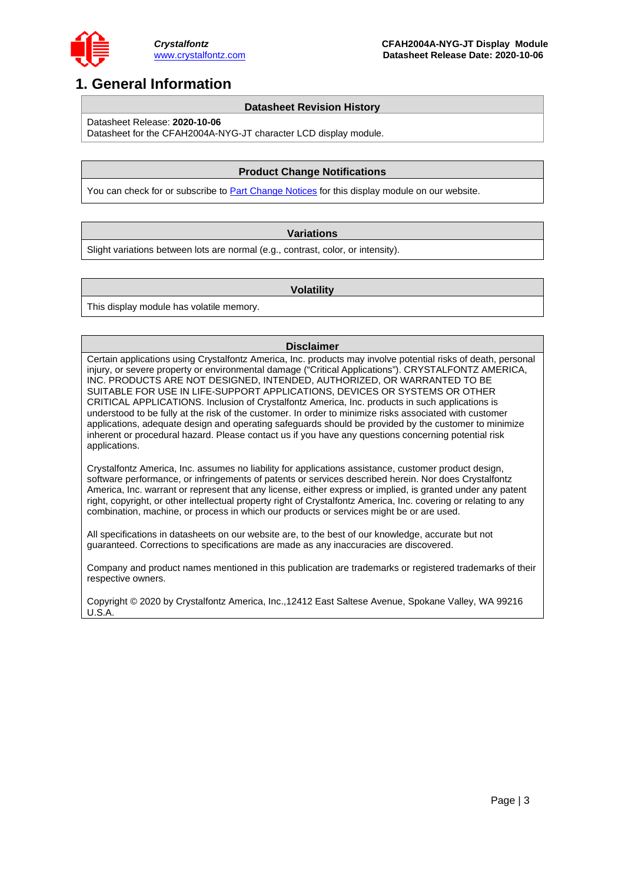

## <span id="page-2-0"></span>**1. General Information**

#### **Datasheet Revision History**

Datasheet Release: **2020-10-06**

Datasheet for the CFAH2004A-NYG-JT character LCD display module.

#### **Product Change Notifications**

You can check for or subscribe to **Part Change Notices** for this display module on our website.

#### **Variations**

Slight variations between lots are normal (e.g., contrast, color, or intensity).

#### **Volatility**

This display module has volatile memory.

#### **Disclaimer**

Certain applications using Crystalfontz America, Inc. products may involve potential risks of death, personal injury, or severe property or environmental damage ("Critical Applications"). CRYSTALFONTZ AMERICA, INC. PRODUCTS ARE NOT DESIGNED, INTENDED, AUTHORIZED, OR WARRANTED TO BE SUITABLE FOR USE IN LIFE-SUPPORT APPLICATIONS, DEVICES OR SYSTEMS OR OTHER CRITICAL APPLICATIONS. Inclusion of Crystalfontz America, Inc. products in such applications is understood to be fully at the risk of the customer. In order to minimize risks associated with customer applications, adequate design and operating safeguards should be provided by the customer to minimize inherent or procedural hazard. Please contact us if you have any questions concerning potential risk applications.

Crystalfontz America, Inc. assumes no liability for applications assistance, customer product design, software performance, or infringements of patents or services described herein. Nor does Crystalfontz America, Inc. warrant or represent that any license, either express or implied, is granted under any patent right, copyright, or other intellectual property right of Crystalfontz America, Inc. covering or relating to any combination, machine, or process in which our products or services might be or are used.

All specifications in datasheets on our website are, to the best of our knowledge, accurate but not guaranteed. Corrections to specifications are made as any inaccuracies are discovered.

Company and product names mentioned in this publication are trademarks or registered trademarks of their respective owners.

Copyright © 2020 by Crystalfontz America, Inc.,12412 East Saltese Avenue, Spokane Valley, WA 99216 U.S.A.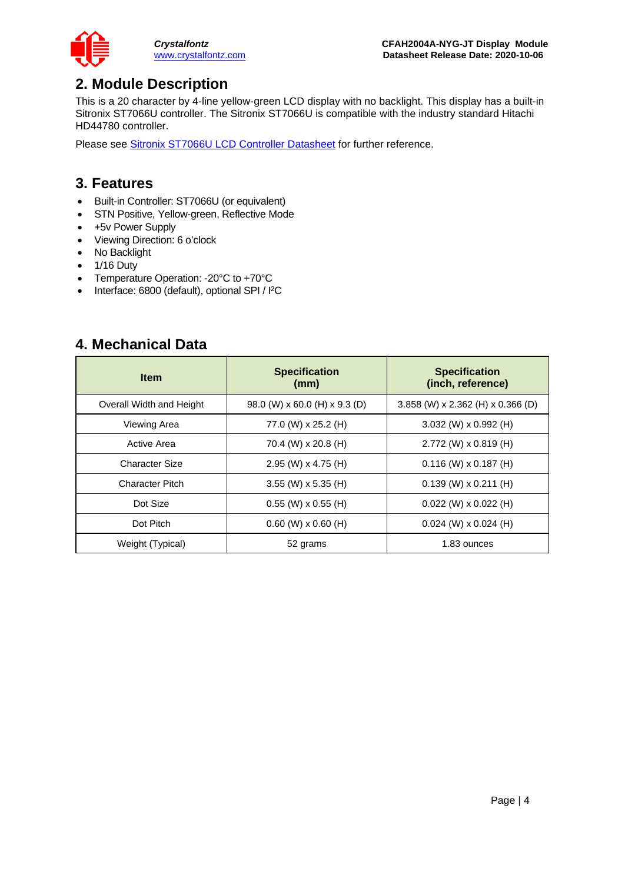

## <span id="page-3-0"></span>**2. Module Description**

This is a 20 character by 4-line yellow-green LCD display with no backlight. This display has a built-in Sitronix ST7066U controller. The Sitronix ST7066U is compatible with the industry standard Hitachi HD44780 controller.

Please see [Sitronix ST7066U LCD Controller Datasheet](https://www.crystalfontz.com/controllers/Sitronix/ST7066U) for further reference.

#### <span id="page-3-1"></span>**3. Features**

- Built-in Controller: ST7066U (or equivalent)
- STN Positive, Yellow-green, Reflective Mode
- +5v Power Supply
- Viewing Direction: 6 o'clock
- No Backlight
- 1/16 Duty
- Temperature Operation: -20°C to +70°C
- Interface: 6800 (default), optional SPI / I<sup>2</sup>C

#### <span id="page-3-2"></span>**4. Mechanical Data**

| <b>Item</b>              | <b>Specification</b><br>(mm)                | <b>Specification</b><br>(inch, reference) |
|--------------------------|---------------------------------------------|-------------------------------------------|
| Overall Width and Height | 98.0 (W) $\times$ 60.0 (H) $\times$ 9.3 (D) | 3.858 (W) x 2.362 (H) x 0.366 (D)         |
| Viewing Area             | 77.0 (W) x 25.2 (H)                         | $3.032$ (W) x 0.992 (H)                   |
| Active Area              | 70.4 (W) x 20.8 (H)                         | $2.772$ (W) x 0.819 (H)                   |
| Character Size           | $2.95$ (W) x 4.75 (H)                       | $0.116$ (W) x 0.187 (H)                   |
| Character Pitch          | $3.55$ (W) x 5.35 (H)                       | $0.139$ (W) x 0.211 (H)                   |
| Dot Size                 | $0.55$ (W) x $0.55$ (H)                     | $0.022$ (W) x $0.022$ (H)                 |
| Dot Pitch                | $0.60$ (W) x $0.60$ (H)                     | $0.024$ (W) x $0.024$ (H)                 |
| Weight (Typical)         | 52 grams                                    | 1.83 ounces                               |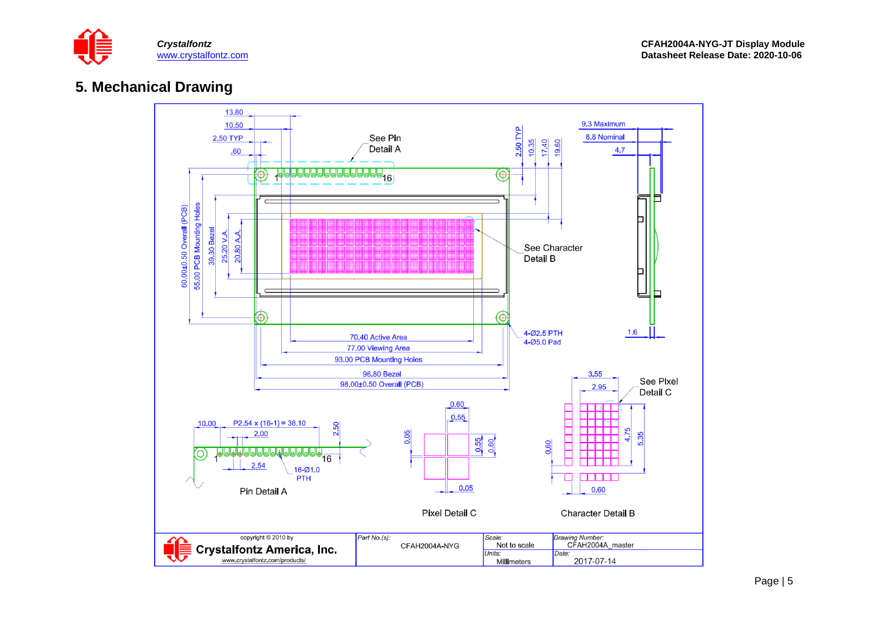

#### **5. Mechanical Drawing**

<span id="page-4-0"></span>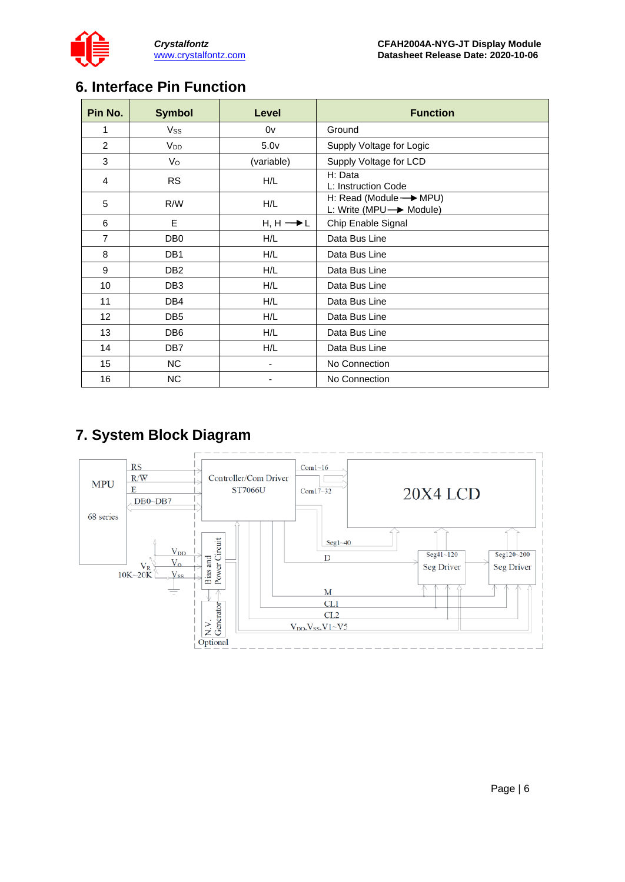

## <span id="page-5-0"></span>**6. Interface Pin Function**

| Pin No.        | <b>Symbol</b>         | Level                    | <b>Function</b>                                               |
|----------------|-----------------------|--------------------------|---------------------------------------------------------------|
| 1              | Vss                   | 0v                       | Ground                                                        |
| 2              | <b>V<sub>DD</sub></b> | 5.0 <sub>v</sub>         | Supply Voltage for Logic                                      |
| 3              | $V_{\rm O}$           | (variable)               | Supply Voltage for LCD                                        |
| 4              | <b>RS</b>             | H/L                      | H: Data<br>L: Instruction Code                                |
| 5              | R/W                   | H/L                      | H: Read (Module - MPU)<br>L: Write (MPU $\rightarrow$ Module) |
| 6              | E                     | $H, H \longrightarrow L$ | Chip Enable Signal                                            |
| $\overline{7}$ | DB <sub>0</sub>       | H/L                      | Data Bus Line                                                 |
| 8              | DB <sub>1</sub>       | H/L                      | Data Bus Line                                                 |
| 9              | DB <sub>2</sub>       | H/L                      | Data Bus Line                                                 |
| 10             | DB <sub>3</sub>       | H/L                      | Data Bus Line                                                 |
| 11             | DB4                   | H/L                      | Data Bus Line                                                 |
| 12             | DB <sub>5</sub>       | H/L                      | Data Bus Line                                                 |
| 13             | DB <sub>6</sub>       | H/L                      | Data Bus Line                                                 |
| 14             | DB <sub>7</sub>       | H/L                      | Data Bus Line                                                 |
| 15             | NC.                   | ٠                        | No Connection                                                 |
| 16             | NC.                   |                          | No Connection                                                 |

## <span id="page-5-1"></span>**7. System Block Diagram**

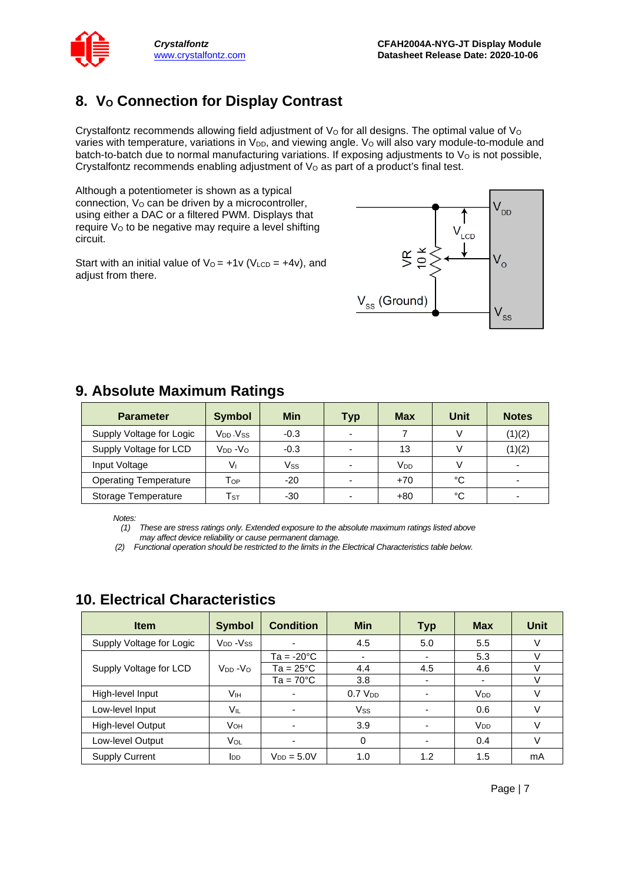

## <span id="page-6-0"></span>8. V<sub>o</sub> Connection for Display Contrast

Crystalfontz recommends allowing field adjustment of  $V<sub>O</sub>$  for all designs. The optimal value of  $V<sub>O</sub>$ varies with temperature, variations in V<sub>DD</sub>, and viewing angle. V<sub>O</sub> will also vary module-to-module and batch-to-batch due to normal manufacturing variations. If exposing adjustments to  $V<sub>O</sub>$  is not possible, Crystalfontz recommends enabling adjustment of  $V<sub>O</sub>$  as part of a product's final test.

Although a potentiometer is shown as a typical connection,  $V<sub>O</sub>$  can be driven by a microcontroller, using either a DAC or a filtered PWM. Displays that require Vo to be negative may require a level shifting circuit.

Start with an initial value of  $V_0 = +1v$  (V<sub>LCD</sub> =  $+4v$ ), and adjust from there.



<span id="page-6-1"></span>

| 9. Absolute Maximum Ratings  |                            |            |     |                       |      |                          |  |  |  |  |  |  |  |
|------------------------------|----------------------------|------------|-----|-----------------------|------|--------------------------|--|--|--|--|--|--|--|
| <b>Parameter</b>             | <b>Symbol</b>              | <b>Min</b> | Typ | Max                   | Unit | <b>Notes</b>             |  |  |  |  |  |  |  |
| Supply Voltage for Logic     | $V_{DD}$ $V_{SS}$          | $-0.3$     |     |                       |      | (1)(2)                   |  |  |  |  |  |  |  |
| Supply Voltage for LCD       | $V_{DD} - V_{O}$           | $-0.3$     |     | 13                    |      | (1)(2)                   |  |  |  |  |  |  |  |
| Input Voltage                | Vı                         | Vss        |     | <b>V<sub>DD</sub></b> |      | $\overline{\phantom{0}}$ |  |  |  |  |  |  |  |
| <b>Operating Temperature</b> | Тор                        | $-20$      |     | $+70$                 | °C   |                          |  |  |  |  |  |  |  |
| Storage Temperature          | $\mathsf{T}_{\texttt{ST}}$ | $-30$      |     | $+80$                 | °C   |                          |  |  |  |  |  |  |  |

*Notes:*

*(1) These are stress ratings only. Extended exposure to the absolute maximum ratings listed above may affect device reliability or cause permanent damage.* 

*(2) Functional operation should be restricted to the limits in the Electrical Characteristics table below.*

| <b>Item</b>              | <b>Symbol</b>                    | <b>Condition</b>   | <b>Min</b>            | <b>Typ</b>               | <b>Max</b>            | <b>Unit</b> |
|--------------------------|----------------------------------|--------------------|-----------------------|--------------------------|-----------------------|-------------|
| Supply Voltage for Logic | V <sub>DD</sub> -V <sub>SS</sub> |                    | 4.5                   | 5.0                      | 5.5                   | V           |
|                          |                                  | Ta = -20°C         |                       | ۰                        | 5.3                   | $\vee$      |
| Supply Voltage for LCD   | $V_{DD} - V_{O}$                 | $Ta = 25^{\circ}C$ | 4.4                   | 4.5                      | 4.6                   | $\vee$      |
|                          |                                  | $Ta = 70^{\circ}C$ | 3.8                   | ۰                        | ۰                     | v           |
| High-level Input         | Vıн                              | $\blacksquare$     | 0.7 V <sub>DD</sub>   |                          | V <sub>DD</sub>       | ٧           |
| Low-level Input          | Vil                              | $\blacksquare$     | <b>V<sub>ss</sub></b> | $\overline{\phantom{0}}$ | 0.6                   | V           |
| High-level Output        | <b>V</b> он                      |                    | 3.9                   | $\overline{\phantom{0}}$ | <b>V<sub>DD</sub></b> | V           |
| Low-level Output         | VOL                              |                    | 0                     | $\overline{\phantom{0}}$ | 0.4                   | V           |
| <b>Supply Current</b>    | <b>I</b> <sub>DD</sub>           | $V_{DD} = 5.0V$    | 1.0                   | 1.2                      | 1.5                   | mA          |

## <span id="page-6-2"></span>**10. Electrical Characteristics**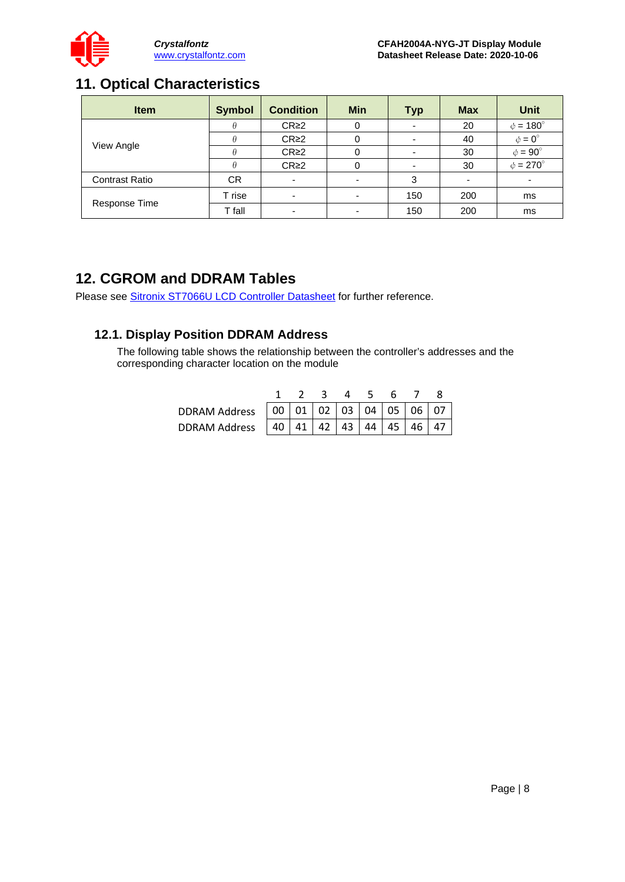

## <span id="page-7-0"></span>**11. Optical Characteristics**

| <b>Item</b>           | <b>Symbol</b> | <b>Condition</b>         | <b>Min</b> | Typ | <b>Max</b> | <b>Unit</b>         |
|-----------------------|---------------|--------------------------|------------|-----|------------|---------------------|
|                       |               | CR <sub>2</sub>          |            |     | 20         | $\phi = 180^\circ$  |
| View Angle            |               | $CR \geq 2$              | 0          |     | 40         | $\phi = 0^{\circ}$  |
|                       |               | CR <sub>2</sub>          |            |     | 30         | $\phi = 90^{\circ}$ |
|                       |               | $CR \geq 2$              | $\Omega$   |     | 30         | $\phi = 270^\circ$  |
| <b>Contrast Ratio</b> | <b>CR</b>     | $\overline{\phantom{0}}$ |            | 3   |            |                     |
|                       | T rise        |                          |            | 150 | 200        | ms                  |
| Response Time         | T fall        |                          |            | 150 | 200        | ms                  |

## <span id="page-7-1"></span>**12. CGROM and DDRAM Tables**

Please see [Sitronix ST7066U LCD Controller Datasheet](https://www.crystalfontz.com/controllers/Sitronix/ST7066U) for further reference.

#### **12.1. Display Position DDRAM Address**

The following table shows the relationship between the controller's addresses and the corresponding character location on the module

|                                                       | 2345678 |  |  |  |
|-------------------------------------------------------|---------|--|--|--|
|                                                       |         |  |  |  |
| DDRAM Address   40   41   42   43   44   45   46   47 |         |  |  |  |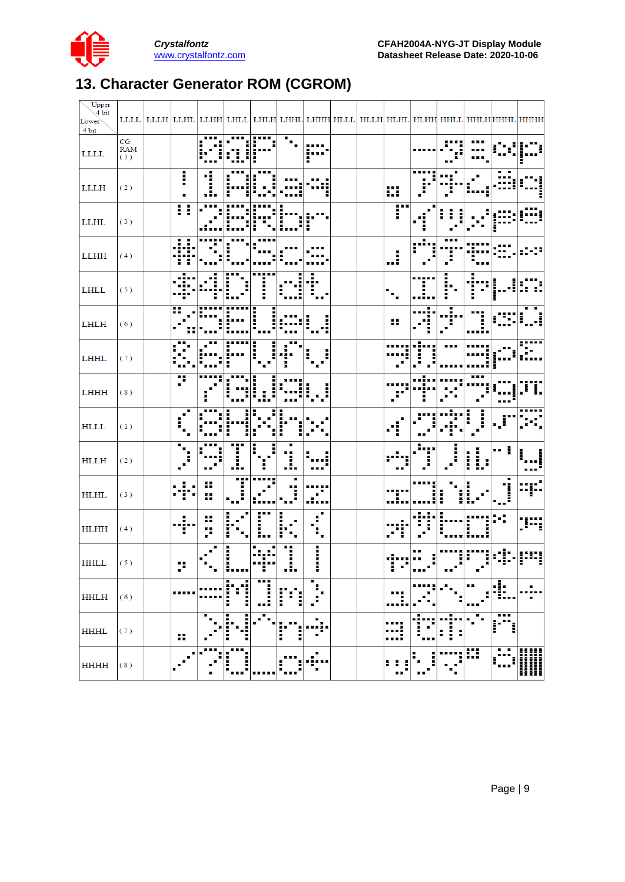

## <span id="page-8-0"></span>**13. Character Generator ROM (CGROM)**

| Upper<br>$\sqrt{4}$ bit<br>Lower<br>4 bit |                         |        |         |                  |                  |               |                     |  |                  |                           |                                                |                       |                | LLLL  LLLH LLHL LLHH LHLL LHLH LHHL LHHH HLLL HLLH HLHL HLHH HHLL HHLH HHHH HHHH |
|-------------------------------------------|-------------------------|--------|---------|------------------|------------------|---------------|---------------------|--|------------------|---------------------------|------------------------------------------------|-----------------------|----------------|----------------------------------------------------------------------------------|
| $\mbox{LLL}$                              | CG<br><b>RAM</b><br>(1) |        |         |                  |                  |               |                     |  |                  |                           |                                                |                       |                |                                                                                  |
| <b>LLLH</b>                               | (2)                     | İ      | ÷į<br>j |                  |                  |               |                     |  | ₩                | <br>÷                     |                                                |                       |                |                                                                                  |
| <b>LLHL</b>                               | (3)                     | ∷      |         |                  |                  |               |                     |  | r                |                           |                                                |                       |                |                                                                                  |
| <b>LLHH</b>                               | (4)                     |        |         |                  |                  |               |                     |  | i                | $\mathbf{r}^{\mathbf{u}}$ | . .<br>Ĵ.                                      |                       |                |                                                                                  |
| $\mbox{LHLL}$                             | (5)                     |        |         |                  |                  |               |                     |  |                  |                           |                                                |                       |                |                                                                                  |
| LHLH                                      | (6)                     | H      |         |                  |                  |               |                     |  | Η                |                           |                                                |                       |                |                                                                                  |
| LHHL                                      | (7)                     |        |         |                  |                  |               |                     |  |                  |                           |                                                |                       |                |                                                                                  |
| LHHH                                      | (8)                     |        |         |                  |                  |               |                     |  |                  |                           |                                                |                       |                |                                                                                  |
| <b>HLLL</b>                               | (1)                     |        |         |                  |                  |               |                     |  |                  |                           |                                                |                       | ال -           |                                                                                  |
| HLLH                                      | (2)                     |        |         | I                |                  | .!.           |                     |  |                  | Ë,                        | i<br>$\ddot{\phantom{a}}$                      | İ<br><b>NNNN</b><br>I | !              |                                                                                  |
| <b>HLHL</b>                               | (3)                     | п      | Η<br>Ħ  | .,<br>E          |                  |               |                     |  | 1.,              |                           | į<br>I                                         | I.                    | I              |                                                                                  |
| <b>HLHH</b>                               | (4)                     | H<br>÷ | н<br>p  | I                | .<br>İ           | ------        |                     |  |                  |                           |                                                | Ē                     |                | ∺                                                                                |
| <b>HHLL</b>                               | (5)                     | •≡     |         | <b>HANN</b>      |                  | i             | ------              |  |                  |                           | 릙                                              | ÷<br>Ē                |                |                                                                                  |
| <b>HHLH</b>                               | (6)                     |        |         | ×<br>н<br>i<br>I | <br>п<br>i<br>■■ | --<br>÷.<br>I | ٠                   |  | .                |                           |                                                | . .<br>. .            | $\blacksquare$ | п                                                                                |
| <b>HHHL</b>                               | (7)                     | н      |         | J<br>Ξ           |                  | ē<br>Ē<br>ř   | в<br>$\blacksquare$ |  |                  |                           | п<br>$\blacksquare$<br>. .<br>I<br>H<br>н<br>в | $\blacksquare$        | 医室             |                                                                                  |
| <b>HHHH</b>                               | (8)                     |        |         | ш<br>i<br>٠      |                  |               | п                   |  | H<br>F<br>I<br>п |                           |                                                | π                     | п              | Ⅲ<br>∭                                                                           |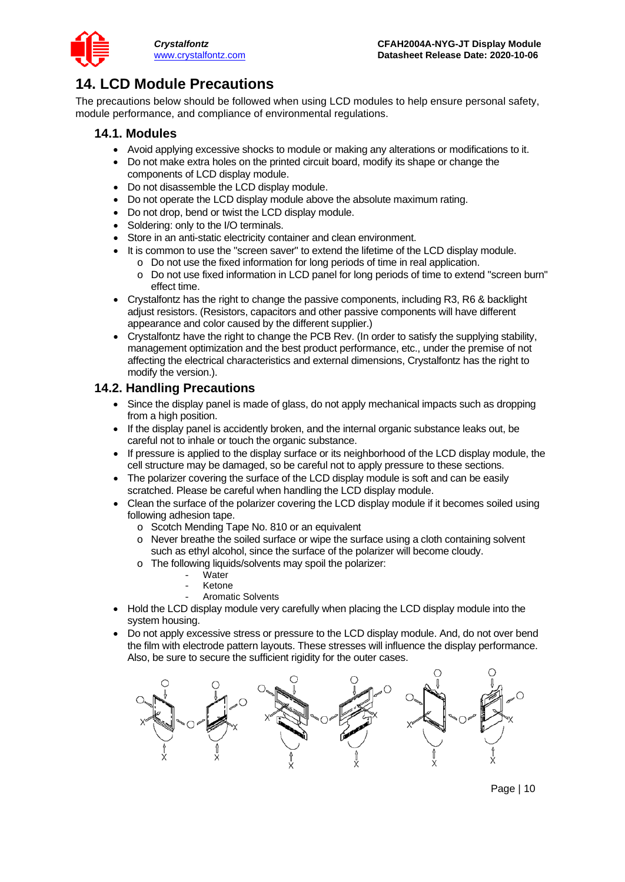

## <span id="page-9-0"></span>**14. LCD Module Precautions**

The precautions below should be followed when using LCD modules to help ensure personal safety, module performance, and compliance of environmental regulations.

#### **14.1. Modules**

- Avoid applying excessive shocks to module or making any alterations or modifications to it.
- Do not make extra holes on the printed circuit board, modify its shape or change the components of LCD display module.
- Do not disassemble the LCD display module.
- Do not operate the LCD display module above the absolute maximum rating.
- Do not drop, bend or twist the LCD display module.
- Soldering: only to the I/O terminals.
- Store in an anti-static electricity container and clean environment.
- It is common to use the "screen saver" to extend the lifetime of the LCD display module.
	- o Do not use the fixed information for long periods of time in real application.
	- o Do not use fixed information in LCD panel for long periods of time to extend "screen burn" effect time.
- Crystalfontz has the right to change the passive components, including R3, R6 & backlight adjust resistors. (Resistors, capacitors and other passive components will have different appearance and color caused by the different supplier.)
- Crystalfontz have the right to change the PCB Rev. (In order to satisfy the supplying stability, management optimization and the best product performance, etc., under the premise of not affecting the electrical characteristics and external dimensions, Crystalfontz has the right to modify the version.).

#### **14.2. Handling Precautions**

- Since the display panel is made of glass, do not apply mechanical impacts such as dropping from a high position.
- If the display panel is accidently broken, and the internal organic substance leaks out, be careful not to inhale or touch the organic substance.
- If pressure is applied to the display surface or its neighborhood of the LCD display module, the cell structure may be damaged, so be careful not to apply pressure to these sections.
- The polarizer covering the surface of the LCD display module is soft and can be easily scratched. Please be careful when handling the LCD display module.
- Clean the surface of the polarizer covering the LCD display module if it becomes soiled using following adhesion tape.
	- o Scotch Mending Tape No. 810 or an equivalent
	- o Never breathe the soiled surface or wipe the surface using a cloth containing solvent such as ethyl alcohol, since the surface of the polarizer will become cloudy.
	- o The following liquids/solvents may spoil the polarizer:
		- Water
		- **Ketone**
		- Aromatic Solvents
- Hold the LCD display module very carefully when placing the LCD display module into the system housing.
- Do not apply excessive stress or pressure to the LCD display module. And, do not over bend the film with electrode pattern layouts. These stresses will influence the display performance. Also, be sure to secure the sufficient rigidity for the outer cases.



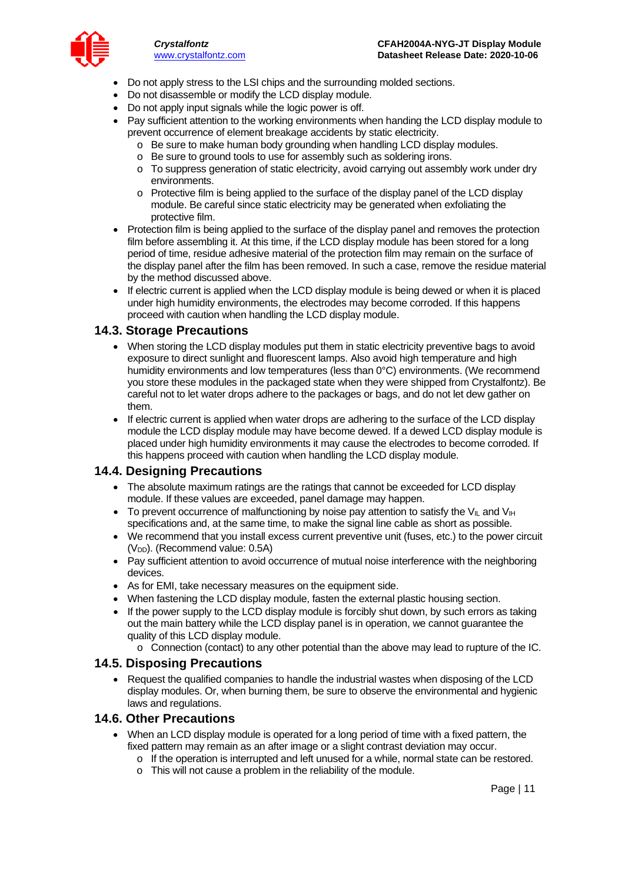

- Do not apply stress to the LSI chips and the surrounding molded sections.
- Do not disassemble or modify the LCD display module.
- Do not apply input signals while the logic power is off.
- Pay sufficient attention to the working environments when handing the LCD display module to prevent occurrence of element breakage accidents by static electricity.
	- o Be sure to make human body grounding when handling LCD display modules.
	- o Be sure to ground tools to use for assembly such as soldering irons.
	- o To suppress generation of static electricity, avoid carrying out assembly work under dry environments.
	- o Protective film is being applied to the surface of the display panel of the LCD display module. Be careful since static electricity may be generated when exfoliating the protective film.
- Protection film is being applied to the surface of the display panel and removes the protection film before assembling it. At this time, if the LCD display module has been stored for a long period of time, residue adhesive material of the protection film may remain on the surface of the display panel after the film has been removed. In such a case, remove the residue material by the method discussed above.
- If electric current is applied when the LCD display module is being dewed or when it is placed under high humidity environments, the electrodes may become corroded. If this happens proceed with caution when handling the LCD display module.

#### **14.3. Storage Precautions**

- When storing the LCD display modules put them in static electricity preventive bags to avoid exposure to direct sunlight and fluorescent lamps. Also avoid high temperature and high humidity environments and low temperatures (less than 0°C) environments. (We recommend you store these modules in the packaged state when they were shipped from Crystalfontz). Be careful not to let water drops adhere to the packages or bags, and do not let dew gather on them.
- If electric current is applied when water drops are adhering to the surface of the LCD display module the LCD display module may have become dewed. If a dewed LCD display module is placed under high humidity environments it may cause the electrodes to become corroded. If this happens proceed with caution when handling the LCD display module.

#### **14.4. Designing Precautions**

- The absolute maximum ratings are the ratings that cannot be exceeded for LCD display module. If these values are exceeded, panel damage may happen.
- To prevent occurrence of malfunctioning by noise pay attention to satisfy the V<sub>II</sub> and V<sub>IH</sub> specifications and, at the same time, to make the signal line cable as short as possible.
- We recommend that you install excess current preventive unit (fuses, etc.) to the power circuit (V<sub>DD</sub>). (Recommend value: 0.5A)
- Pay sufficient attention to avoid occurrence of mutual noise interference with the neighboring devices.
- As for EMI, take necessary measures on the equipment side.
- When fastening the LCD display module, fasten the external plastic housing section.
- If the power supply to the LCD display module is forcibly shut down, by such errors as taking out the main battery while the LCD display panel is in operation, we cannot guarantee the quality of this LCD display module.
	- o Connection (contact) to any other potential than the above may lead to rupture of the IC.

#### **14.5. Disposing Precautions**

• Request the qualified companies to handle the industrial wastes when disposing of the LCD display modules. Or, when burning them, be sure to observe the environmental and hygienic laws and regulations.

#### **14.6. Other Precautions**

- When an LCD display module is operated for a long period of time with a fixed pattern, the fixed pattern may remain as an after image or a slight contrast deviation may occur.
	- o If the operation is interrupted and left unused for a while, normal state can be restored.
	- o This will not cause a problem in the reliability of the module.